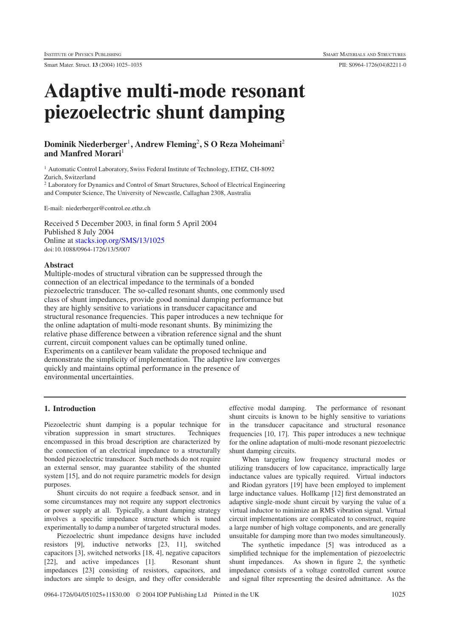Smart Mater. Struct. **13** (2004) 1025–1035 PII: S0964-1726(04)82211-0

# **Adaptive multi-mode resonant piezoelectric shunt damping**

# **Dominik Niederberger**<sup>1</sup>**, Andrew Fleming**<sup>2</sup>**,SOReza Moheimani**<sup>2</sup> **and Manfred Morari**<sup>1</sup>

<sup>1</sup> Automatic Control Laboratory, Swiss Federal Institute of Technology, ETHZ, CH-8092 Zurich, Switzerland

<sup>2</sup> Laboratory for Dynamics and Control of Smart Structures, School of Electrical Engineering and Computer Science, The University of Newcastle, Callaghan 2308, Australia

E-mail: niederberger@control.ee.ethz.ch

Received 5 December 2003, in final form 5 April 2004 Published 8 July 2004 Online at [stacks.iop.org/SMS/13/1025](http://stacks.iop.org/SMS/13/1025) doi:10.1088/0964-1726/13/5/007

# **Abstract**

Multiple-modes of structural vibration can be suppressed through the connection of an electrical impedance to the terminals of a bonded piezoelectric transducer. The so-called resonant shunts, one commonly used class of shunt impedances, provide good nominal damping performance but they are highly sensitive to variations in transducer capacitance and structural resonance frequencies. This paper introduces a new technique for the online adaptation of multi-mode resonant shunts. By minimizing the relative phase difference between a vibration reference signal and the shunt current, circuit component values can be optimally tuned online. Experiments on a cantilever beam validate the proposed technique and demonstrate the simplicity of implementation. The adaptive law converges quickly and maintains optimal performance in the presence of environmental uncertainties.

# **1. Introduction**

Piezoelectric shunt damping is a popular technique for vibration suppression in smart structures. Techniques encompassed in this broad description are characterized by the connection of an electrical impedance to a structurally bonded piezoelectric transducer. Such methods do not require an external sensor, may guarantee stability of the shunted system [15], and do not require parametric models for design purposes.

Shunt circuits do not require a feedback sensor, and in some circumstances may not require any support electronics or power supply at all. Typically, a shunt damping strategy involves a specific impedance structure which is tuned experimentally to damp a number of targeted structural modes.

Piezoelectric shunt impedance designs have included resistors [9], inductive networks [23, 11], switched capacitors [3], switched networks [18, 4], negative capacitors [22], and active impedances [1]. Resonant shunt impedances [23] consisting of resistors, capacitors, and inductors are simple to design, and they offer considerable

effective modal damping. The performance of resonant shunt circuits is known to be highly sensitive to variations in the transducer capacitance and structural resonance frequencies [10, 17]. This paper introduces a new technique for the online adaptation of multi-mode resonant piezoelectric shunt damping circuits.

When targeting low frequency structural modes or utilizing transducers of low capacitance, impractically large inductance values are typically required. Virtual inductors and Riodan gyrators [19] have been employed to implement large inductance values. Hollkamp [12] first demonstrated an adaptive single-mode shunt circuit by varying the value of a virtual inductor to minimize an RMS vibration signal. Virtual circuit implementations are complicated to construct, require a large number of high voltage components, and are generally unsuitable for damping more than two modes simultaneously.

The synthetic impedance [5] was introduced as a simplified technique for the implementation of piezoelectric shunt impedances. As shown in figure 2, the synthetic impedance consists of a voltage controlled current source and signal filter representing the desired admittance. As the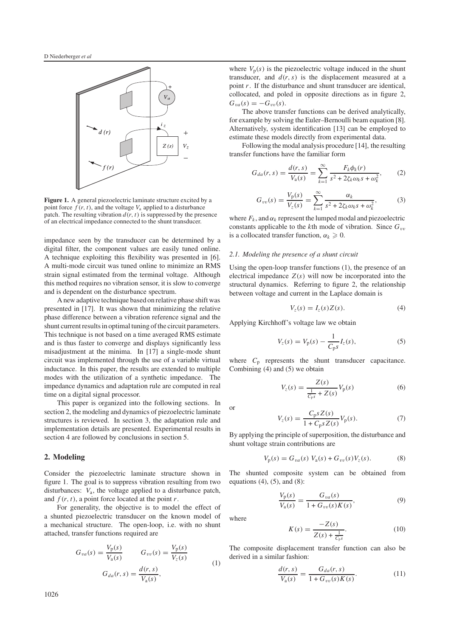

**Figure 1.** A general piezoelectric laminate structure excited by a point force  $f(r, t)$ , and the voltage  $V_a$  applied to a disturbance patch. The resulting vibration  $d(r, t)$  is suppressed by the presence of an electrical impedance connected to the shunt transducer.

impedance seen by the transducer can be determined by a digital filter, the component values are easily tuned online. A technique exploiting this flexibility was presented in [6]. A multi-mode circuit was tuned online to minimize an RMS strain signal estimated from the terminal voltage. Although this method requires no vibration sensor, it is slow to converge and is dependent on the disturbance spectrum.

A new adaptive technique based on relative phase shift was presented in [17]. It was shown that minimizing the relative phase difference between a vibration reference signal and the shunt current results in optimal tuning of the circuit parameters. This technique is not based on a time averaged RMS estimate and is thus faster to converge and displays significantly less misadjustment at the minima. In [17] a single-mode shunt circuit was implemented through the use of a variable virtual inductance. In this paper, the results are extended to multiple modes with the utilization of a synthetic impedance. The impedance dynamics and adaptation rule are computed in real time on a digital signal processor.

This paper is organized into the following sections. In section 2, the modeling and dynamics of piezoelectric laminate structures is reviewed. In section 3, the adaptation rule and implementation details are presented. Experimental results in section 4 are followed by conclusions in section 5.

### **2. Modeling**

Consider the piezoelectric laminate structure shown in figure 1. The goal is to suppress vibration resulting from two disturbances: *V*a, the voltage applied to a disturbance patch, and  $f(r, t)$ , a point force located at the point *r*.

For generality, the objective is to model the effect of a shunted piezoelectric transducer on the known model of a mechanical structure. The open-loop, i.e. with no shunt attached, transfer functions required are

$$
G_{va}(s) = \frac{V_{p}(s)}{V_{a}(s)} \qquad G_{vv}(s) = \frac{V_{p}(s)}{V_{z}(s)}
$$
  

$$
G_{da}(r, s) = \frac{d(r, s)}{V_{a}(s)},
$$
 (1)

where  $V_p(s)$  is the piezoelectric voltage induced in the shunt transducer, and  $d(r, s)$  is the displacement measured at a point *r*. If the disturbance and shunt transducer are identical, collocated, and poled in opposite directions as in figure 2,  $G_{va}(s) = -G_{vv}(s)$ .

The above transfer functions can be derived analytically, for example by solving the Euler–Bernoulli beam equation [8]. Alternatively, system identification [13] can be employed to estimate these models directly from experimental data.

Following the modal analysis procedure [14], the resulting transfer functions have the familiar form

$$
G_{da}(r,s) = \frac{d(r,s)}{V_a(s)} = \sum_{k=1}^{\infty} \frac{F_k \phi_k(r)}{s^2 + 2\zeta_k \omega_k s + \omega_k^2},
$$
 (2)

$$
G_{vv}(s) = \frac{V_{\rm p}(s)}{V_z(s)} = \sum_{k=1}^{\infty} \frac{\alpha_k}{s^2 + 2\zeta_k \omega_k s + \omega_k^2},\tag{3}
$$

where  $F_k$ , and  $\alpha_k$  represent the lumped modal and piezoelectric constants applicable to the *k*th mode of vibration. Since  $G_{vv}$ is a collocated transfer function,  $\alpha_k \geq 0$ .

#### *2.1. Modeling the presence of a shunt circuit*

Using the open-loop transfer functions (1), the presence of an electrical impedance  $Z(s)$  will now be incorporated into the structural dynamics. Referring to figure 2, the relationship between voltage and current in the Laplace domain is

$$
V_z(s) = I_z(s)Z(s). \tag{4}
$$

Applying Kirchhoff's voltage law we obtain

$$
V_z(s) = V_p(s) - \frac{1}{C_p s} I_z(s),
$$
\n(5)

where  $C_p$  represents the shunt transducer capacitance. Combining (4) and (5) we obtain

$$
V_z(s) = \frac{Z(s)}{\frac{1}{C_{\text{p}}s} + Z(s)} V_{\text{p}}(s)
$$
 (6)

or

$$
V_z(s) = \frac{C_{\rm p}sZ(s)}{1 + C_{\rm p}sZ(s)}V_{\rm p}(s).
$$
 (7)

By applying the principle of superposition, the disturbance and shunt voltage strain contributions are

$$
V_p(s) = G_{va}(s) V_a(s) + G_{vv}(s) V_z(s).
$$
 (8)

The shunted composite system can be obtained from equations  $(4)$ ,  $(5)$ , and  $(8)$ :

$$
\frac{V_{p}(s)}{V_{a}(s)} = \frac{G_{va}(s)}{1 + G_{vv}(s)K(s)},
$$
\n(9)

where

$$
K(s) = \frac{-Z(s)}{Z(s) + \frac{1}{C_{\text{p}s}}}.\tag{10}
$$

The composite displacement transfer function can also be derived in a similar fashion:

$$
\frac{d(r,s)}{V_a(s)} = \frac{G_{da}(r,s)}{1 + G_{vv}(s)K(s)}.
$$
\n(11)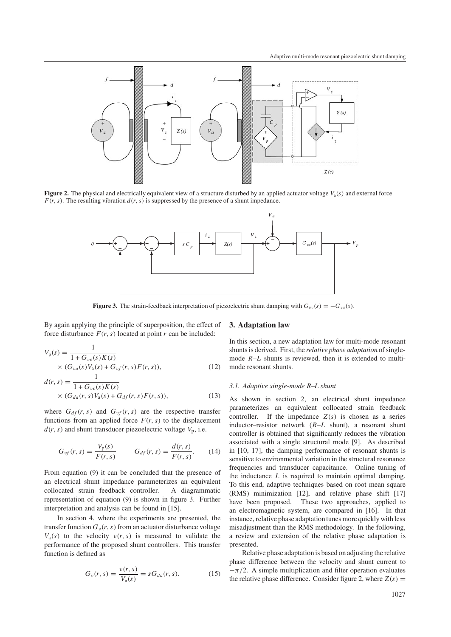

**Figure 2.** The physical and electrically equivalent view of a structure disturbed by an applied actuator voltage  $V_a(s)$  and external force  $F(r, s)$ . The resulting vibration  $d(r, s)$  is suppressed by the presence of a shunt impedance.



**Figure 3.** The strain-feedback interpretation of piezoelectric shunt damping with  $G_{vw}(s) = -G_{va}(s)$ .

By again applying the principle of superposition, the effect of force disturbance  $F(r, s)$  located at point  $r$  can be included:

$$
V_p(s) = \frac{1}{1 + G_{vv}(s)K(s)}
$$
  
×  $(G_{va}(s)V_a(s) + G_{vf}(r, s)F(r, s)),$  (12)

$$
d(r,s) = \frac{1}{1 + G_{vv}(s)K(s)}
$$
  
×  $(G_{da}(r, s)V_a(s) + G_{df}(r, s)F(r, s)),$  (13)

where  $G_{df}(r, s)$  and  $G_{vf}(r, s)$  are the respective transfer functions from an applied force  $F(r, s)$  to the displacement  $d(r, s)$  and shunt transducer piezoelectric voltage  $V_p$ , i.e.

$$
G_{vf}(r,s) = \frac{V_p(s)}{F(r,s)} \qquad G_{df}(r,s) = \frac{d(r,s)}{F(r,s)}.
$$
 (14)

From equation (9) it can be concluded that the presence of an electrical shunt impedance parameterizes an equivalent collocated strain feedback controller. A diagrammatic representation of equation (9) is shown in figure 3. Further interpretation and analysis can be found in [15].

In section 4, where the experiments are presented, the transfer function  $G_v(r, s)$  from an actuator disturbance voltage  $V_a(s)$  to the velocity  $v(r, s)$  is measured to validate the performance of the proposed shunt controllers. This transfer function is defined as

$$
G_{\nu}(r,s) = \frac{\nu(r,s)}{V_a(s)} = sG_{da}(r,s).
$$
 (15)

# **3. Adaptation law**

In this section, a new adaptation law for multi-mode resonant shunts is derived. First, the *relative phase adaptation* of singlemode  $R-L$  shunts is reviewed, then it is extended to multimode resonant shunts.

#### *3.1. Adaptive single-mode R–L shunt*

As shown in section 2, an electrical shunt impedance parameterizes an equivalent collocated strain feedback controller. If the impedance  $Z(s)$  is chosen as a series inductor–resistor network (*R*–*L* shunt), a resonant shunt controller is obtained that significantly reduces the vibration associated with a single structural mode [9]. As described in [10, 17], the damping performance of resonant shunts is sensitive to environmental variation in the structural resonance frequencies and transducer capacitance. Online tuning of the inductance *L* is required to maintain optimal damping. To this end, adaptive techniques based on root mean square (RMS) minimization [12], and relative phase shift [17] have been proposed. These two approaches, applied to an electromagnetic system, are compared in [16]. In that instance, relative phase adaptation tunes more quickly with less misadjustment than the RMS methodology. In the following, a review and extension of the relative phase adaptation is presented.

Relative phase adaptation is based on adjusting the relative phase difference between the velocity and shunt current to  $-\pi/2$ . A simple multiplication and filter operation evaluates the relative phase difference. Consider figure 2, where  $Z(s)$  =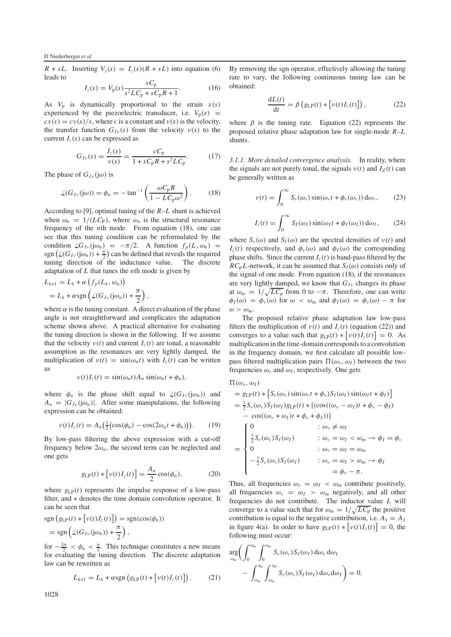$R + sL$ . Inserting  $V_z(s) = I_z(s)(R + sL)$  into equation (6) leads to

$$
I_z(s) = V_p(s) \frac{sC_p}{s^2 L C_p + s C_p R + 1}.
$$
 (16)

As  $V_p$  is dynamically proportional to the strain  $x(s)$ experienced by the piezoelectric transducer, i.e.  $V_p(s)$  =  $cx(s) = cv(s)/s$ , where *c* is a constant and  $v(s)$  is the velocity, the transfer function  $G_{Iv}(s)$  from the velocity  $v(s)$  to the current  $I_z(s)$  can be expressed as

$$
G_{I\nu}(s) = \frac{I_z(s)}{\nu(s)} = \frac{cC_p}{1 + sC_pR + s^2LC_p}.
$$
 (17)

The phase of  $G_{I\nu}$  (j $\omega$ ) is

$$
\angle(G_{I\nu}(j\omega)) = \phi_n = -\tan^{-1}\left(\frac{\omega C_p R}{1 - L C_p \omega^2}\right). \tag{18}
$$

According to [9], optimal tuning of the *R*–*L* shunt is achieved when  $\omega_n = 1/(LC_P)$ , where  $\omega_n$  is the structural resonance frequency of the *n*th mode. From equation (18), one can see that this tuning condition can be reformulated by the condition  $\angle G_{I\nu}(j\omega_n) = -\pi/2$ . A function  $f_p(L, \omega_n) =$ sgn  $(\angle(G_{Iv}(j\omega_n)) + \frac{\pi}{2})$  can be defined that reveals the required tuning direction of the inductance value. The discrete adaptation of *L* that tunes the *n*th mode is given by

$$
L_{k+1} = L_k + \alpha \left( f_p(L_k, \omega_n) \right)
$$
  
=  $L_k + \alpha \operatorname{sgn} \left( \angle (G_{Iv}(j\omega_n)) + \frac{\pi}{2} \right),$ 

where  $\alpha$  is the tuning constant. A direct evaluation of the phase angle is not straightforward and complicates the adaptation scheme shown above. A practical alternative for evaluating the tuning direction is shown in the following. If we assume that the velocity  $v(t)$  and current  $I_z(t)$  are tonal, a reasonable assumption as the resonances are very lightly damped, the multiplication of  $v(t) = sin(\omega_n t)$  with  $I_z(t)$  can be written as

$$
\nu(t)I_z(t) = \sin(\omega_n t)A_n\sin(\omega_n t + \phi_n),
$$

where  $\phi_n$  is the phase shift equal to  $\angle(G_{I_v}(j\omega_n))$  and  $A_n = |G_{Iv}(j\omega_n)|$ . After some manipulations, the following expression can be obtained:

$$
\nu(t)I_z(t) = A_n\left(\frac{1}{2}(\cos(\phi_n) - \cos(2\omega_n t + \phi_n))\right). \tag{19}
$$

By low-pass filtering the above expression with a cut-off frequency below  $2\omega_n$ , the second term can be neglected and one gets

$$
g_{\text{LP}}(t) * \left[ v(t)I_z(t) \right] = \frac{A_n}{2}\cos(\phi_n),\tag{20}
$$

where  $g_{\text{LP}}(t)$  represents the impulse response of a low-pass filter, and ∗ denotes the time domain convolution operator. It can be seen that

$$
sgn(g_{LP}(t) * [v(t)I_z(t)]) = sgn(cos(\phi_n))
$$
  
= 
$$
sgn(\angle(G_{Iv}(j\omega_n)) + \frac{\pi}{2}),
$$

for  $-\frac{3\pi}{2} < \phi_n < \frac{\pi}{2}$ . This technique constitutes a new means for evaluating the tuning direction. The discrete adaptation law can be rewritten as

$$
L_{k+1} = L_k + \alpha \text{sgn}\left(g_{\text{LP}}(t) * \left[\nu(t)I_z(t)\right]\right). \tag{21}
$$

By removing the sgn operator, effectively allowing the tuning rate to vary, the following continuous tuning law can be obtained:

$$
\frac{dL(t)}{dt} = \beta \left( g_{LP}(t) * \left[ v(t)I_z(t) \right] \right), \tag{22}
$$

where  $\beta$  is the tuning rate. Equation (22) represents the proposed relative phase adaptation law for single-mode *R*–*L* shunts.

*3.1.1. More detailed convergence analysis.* In reality, where the signals are not purely tonal, the signals  $v(t)$  and  $I_Z(t)$  can be generally written as

$$
\nu(t) = \int_0^\infty S_\nu(\omega_\nu) \sin(\omega_\nu t + \phi_\nu(\omega_\nu)) d\omega_\nu, \qquad (23)
$$

$$
I_z(t) = \int_0^\infty S_I(\omega_I) \sin(\omega_I t + \phi_I(\omega_I)) d\omega_I, \qquad (24)
$$

where  $S_v(\omega)$  and  $S_l(\omega)$  are the spectral densities of  $v(t)$  and  $I_z(t)$  respectively, and  $\phi_y(\omega)$  and  $\phi_I(\omega)$  the corresponding phase shifts. Since the current  $I_7(t)$  is band-pass filtered by the  $RC<sub>p</sub>L$ -network, it can be assumed that  $S<sub>I</sub>(\omega)$  consists only of the signal of one mode. From equation (18), if the resonances are very lightly damped, we know that  $G_{I\nu}$  changes its phase at  $\omega_m = 1/\sqrt{LC_p}$  from 0 to  $-\pi$ . Therefore, one can write  $\phi_I(\omega) = \phi_\nu(\omega)$  for  $\omega < \omega_m$  and  $\phi_I(\omega) = \phi_\nu(\omega) - \pi$  for  $\omega > \omega_m$ .

The proposed relative phase adaptation law low-pass filters the multiplication of  $v(t)$  and  $I_z(t)$  (equation (22)) and converges to a value such that  $g_{LP}(t) * [v(t)I_z(t)] = 0$ . As multiplication in the time-domain corresponds to a convolution in the frequency domain, we first calculate all possible lowpass filtered multiplication pairs  $\Pi(\omega_{\nu}, \omega_{I})$  between the two frequencies  $\omega_{\nu}$  and  $\omega_{I}$ , respectively. One gets

$$
\Pi(\omega_{\nu}, \omega_{I})
$$
\n
$$
= g_{LP}(t) * [S_{\nu}(\omega_{\nu}) \sin(\omega_{\nu}t + \phi_{\nu})S_{I}(\omega_{I}) \sin(\omega_{I}t + \phi_{I})]
$$
\n
$$
= \frac{1}{2} S_{\nu}(\omega_{\nu}) S_{I}(\omega_{I}) g_{LP}(t) * [(\cos((\omega_{\nu} - \omega_{I})t + \phi_{\nu} - \phi_{I})
$$
\n
$$
- \cos((\omega_{\nu} + \omega_{I})t + \phi_{\nu} + \phi_{I}))]
$$
\n
$$
= \begin{cases}\n0 & \text{: } \omega_{\nu} \neq \omega_{I} \\
\frac{1}{2} S_{\nu}(\omega_{\nu}) S_{I}(\omega_{I}) & \text{: } \omega_{\nu} = \omega_{I} < \omega_{m} \rightarrow \phi_{I} = \phi_{\nu} \\
0 & \text{: } \omega_{\nu} = \omega_{I} = \omega_{m} \\
-\frac{1}{2} S_{\nu}(\omega_{\nu}) S_{I}(\omega_{I}) & \text{: } \omega_{\nu} = \omega_{I} > \omega_{m} \rightarrow \phi_{I} \\
= \phi_{\nu} - \pi.\n\end{cases}
$$

Thus, all frequencies  $\omega_v = \omega_I < \omega_m$  contribute positively, all frequencies  $\omega_v = \omega_I > \omega_m$  negatively, and all other frequencies do not contribute. The inductor value *L* will converge to a value such that for  $\omega_m = 1/\sqrt{LC_p}$  the positive contribution is equal to the negative contribution, i.e.  $A_1 = A_2$ in figure 4(a). In order to have  $g_{\text{LP}}(t) * [v(t)I_z(t)] = 0$ , the following must occur:

$$
\underset{\omega_m}{\arg} \bigg( \int_0^{\omega_m} \int_0^{\omega_m} S_{\nu}(\omega_{\nu}) S_I(\omega_I) d\omega_{\nu} d\omega_I - \int_{\omega_m}^{\infty} \int_{\omega_m}^{\infty} S_{\nu}(\omega_{\nu}) S_I(\omega_I) d\omega_{\nu} d\omega_I \bigg) = 0.
$$

1028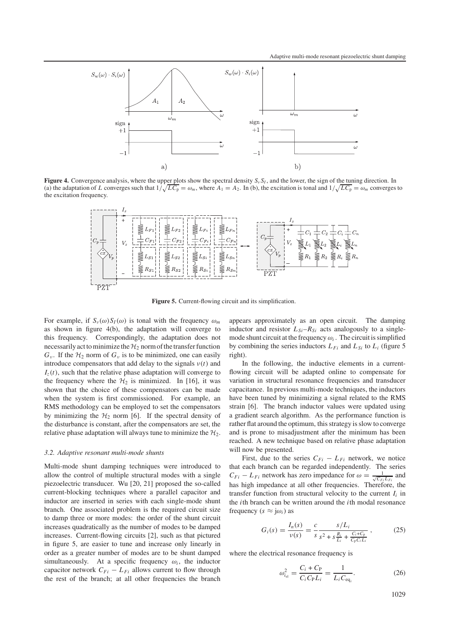

**Figure 4.** Convergence analysis, where the upper plots show the spectral density  $S_v S_l$ , and the lower, the sign of the tuning direction. In (a) the adaptation of *L* converges such that  $1/\sqrt{LC_p} = \omega_m$ , where  $A_1 = A_2$ . In (b), the excitation is tonal and  $1/\sqrt{LC_p} = \omega_m$  converges to the excitation frequency.



**Figure 5.** Current-flowing circuit and its simplification.

For example, if  $S_v(\omega)S_l(\omega)$  is tonal with the frequency  $\omega_m$ as shown in figure 4(b), the adaptation will converge to this frequency. Correspondingly, the adaptation does not necessarily act to minimize the  $H_2$  norm of the transfer function  $G_{\nu}$ . If the  $\mathcal{H}_{2}$  norm of  $G_{\nu}$  is to be minimized, one can easily introduce compensators that add delay to the signals  $v(t)$  and  $I_z(t)$ , such that the relative phase adaptation will converge to the frequency where the  $H_2$  is minimized. In [16], it was shown that the choice of these compensators can be made when the system is first commissioned. For example, an RMS methodology can be employed to set the compensators by minimizing the  $H_2$  norm [6]. If the spectral density of the disturbance is constant, after the compensators are set, the relative phase adaptation will always tune to minimize the  $\mathcal{H}_2$ .

#### *3.2. Adaptive resonant multi-mode shunts*

Multi-mode shunt damping techniques were introduced to allow the control of multiple structural modes with a single piezoelectric transducer. Wu [20, 21] proposed the so-called current-blocking techniques where a parallel capacitor and inductor are inserted in series with each single-mode shunt branch. One associated problem is the required circuit size to damp three or more modes: the order of the shunt circuit increases quadratically as the number of modes to be damped increases. Current-flowing circuits [2], such as that pictured in figure 5, are easier to tune and increase only linearly in order as a greater number of modes are to be shunt damped simultaneously. At a specific frequency  $\omega_i$ , the inductor capacitor network  $C_{Fi} - L_{Fi}$  allows current to flow through the rest of the branch; at all other frequencies the branch

appears approximately as an open circuit. The damping inductor and resistor  $L_{Si}-R_{Si}$  acts analogously to a singlemode shunt circuit at the frequency  $\omega_i$ . The circuit is simplified by combining the series inductors  $L_{Fi}$  and  $L_{Si}$  to  $L_i$  (figure 5) right).

In the following, the inductive elements in a currentflowing circuit will be adapted online to compensate for variation in structural resonance frequencies and transducer capacitance. In previous multi-mode techniques, the inductors have been tuned by minimizing a signal related to the RMS strain [6]. The branch inductor values were updated using a gradient search algorithm. As the performance function is rather flat around the optimum, this strategy is slow to converge and is prone to misadjustment after the minimum has been reached. A new technique based on relative phase adaptation will now be presented.

First, due to the series  $C_{Fi} - L_{Fi}$  network, we notice that each branch can be regarded independently. The series  $C_{Fi} - L_{Fi}$  network has zero impedance for  $\omega = \frac{1}{\sqrt{C_{Fi}L_{Fi}}}$  and has high impedance at all other frequencies. Therefore, the transfer function from structural velocity to the current  $I_i$  in the *i*th branch can be written around the *i*th modal resonance frequency ( $s \approx j\omega_i$ ) as

$$
G_i(s) = \frac{I_n(s)}{\nu(s)} = \frac{c}{s} \frac{s/L_i}{s^2 + s\frac{R_i}{L_i} + \frac{C_i + C_p}{C_p C_i L_i}},
$$
(25)

where the electrical resonance frequency is

$$
\omega_{i_{\text{el}}}^2 = \frac{C_i + C_{\text{P}}}{C_i C_{\text{P}} L_i} = \frac{1}{L_i C_{\text{eq}_i}}.
$$
 (26)

1029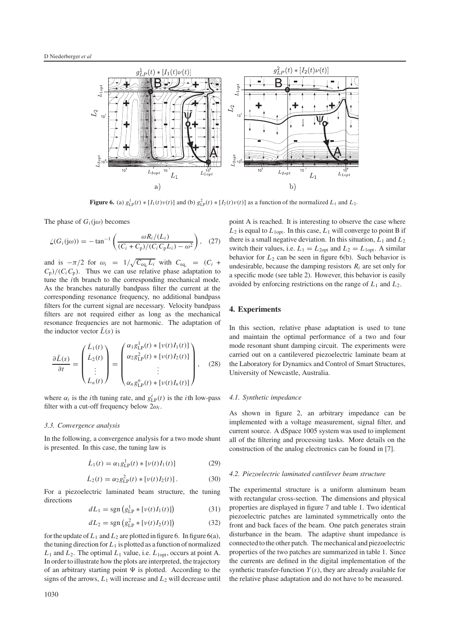

**Figure 6.** (a)  $g_{LP}^1(t) * [I_1(t)v(t)]$  and (b)  $g_{LP}^2(t) * [I_2(t)v(t)]$  as a function of the normalized  $L_1$  and  $L_2$ .

The phase of  $G_i(i\omega)$  becomes

-

$$
\angle(G_i(j\omega)) = -\tan^{-1}\left(\frac{\omega R_i/(L_i)}{(C_i + C_p)/(C_i C_p L_i) - \omega^2}\right), (27)
$$

and is  $-\pi/2$  for  $\omega_i = 1/\sqrt{C_{\text{eq}_i} L_i}$  with  $C_{\text{eq}_i} = (C_i +$  $C_p$ )/( $C_i C_p$ ). Thus we can use relative phase adaptation to tune the *i*th branch to the corresponding mechanical mode. As the branches naturally bandpass filter the current at the corresponding resonance frequency, no additional bandpass filters for the current signal are necessary. Velocity bandpass filters are not required either as long as the mechanical resonance frequencies are not harmonic. The adaptation of the inductor vector  $\bar{L}(s)$  is

$$
\frac{\partial \bar{L}(s)}{\partial t} = \begin{pmatrix} \dot{L}_1(t) \\ \dot{L}_2(t) \\ \vdots \\ \dot{L}_n(t) \end{pmatrix} = \begin{pmatrix} \alpha_1 g_{\text{LP}}^1(t) * [\nu(t)I_1(t)] \\ \alpha_2 g_{\text{LP}}^2(t) * [\nu(t)I_2(t)] \\ \vdots \\ \alpha_n g_{\text{LP}}^n(t) * [\nu(t)I_n(t)] \end{pmatrix}, \quad (28)
$$

where  $\alpha_i$  is the *i*th tuning rate, and  $g_{\text{LP}}^i(t)$  is the *i*th low-pass filter with a cut-off frequency below  $2\omega_i$ .

#### *3.3. Convergence analysis*

In the following, a convergence analysis for a two mode shunt is presented. In this case, the tuning law is

$$
\dot{L}_1(t) = \alpha_1 g_{\text{LP}}^1(t) * [\nu(t)I_1(t)] \tag{29}
$$

$$
\dot{L}_2(t) = \alpha_2 g_{\text{LP}}^2(t) * [\nu(t) I_2(t)]. \tag{30}
$$

For a piezoelectric laminated beam structure, the tuning directions

$$
dL_1 = sgn(g_{LP}^1 * [\nu(t)I_1(t)])
$$
 (31)

$$
dL_2 = \text{sgn}\left(g_{\text{LP}}^2 * \left[\nu(t)I_2(t)\right]\right) \tag{32}
$$

for the update of  $L_1$  and  $L_2$  are plotted in figure 6. In figure 6(a), the tuning direction for  $L_1$  is plotted as a function of normalized  $L_1$  and  $L_2$ . The optimal  $L_1$  value, i.e.  $L_{\text{1opt}}$ , occurs at point A. In order to illustrate how the plots are interpreted, the trajectory of an arbitrary starting point  $\Psi$  is plotted. According to the signs of the arrows,  $L_1$  will increase and  $L_2$  will decrease until point A is reached. It is interesting to observe the case where  $L_2$  is equal to  $L_{1opt}$ . In this case,  $L_1$  will converge to point B if there is a small negative deviation. In this situation,  $L_1$  and  $L_2$ switch their values, i.e.  $L_1 = L_{2opt}$  and  $L_2 = L_{1opt}$ . A similar behavior for  $L_2$  can be seen in figure 6(b). Such behavior is undesirable, because the damping resistors  $R_i$  are set only for a specific mode (see table 2). However, this behavior is easily avoided by enforcing restrictions on the range of *L*<sup>1</sup> and *L*2.

#### **4. Experiments**

In this section, relative phase adaptation is used to tune and maintain the optimal performance of a two and four mode resonant shunt damping circuit. The experiments were carried out on a cantilevered piezoelectric laminate beam at the Laboratory for Dynamics and Control of Smart Structures, University of Newcastle, Australia.

## *4.1. Synthetic impedance*

As shown in figure 2, an arbitrary impedance can be implemented with a voltage measurement, signal filter, and current source. A dSpace 1005 system was used to implement all of the filtering and processing tasks. More details on the construction of the analog electronics can be found in [7].

#### *4.2. Piezoelectric laminated cantilever beam structure*

The experimental structure is a uniform aluminum beam with rectangular cross-section. The dimensions and physical properties are displayed in figure 7 and table 1. Two identical piezoelectric patches are laminated symmetrically onto the front and back faces of the beam. One patch generates strain disturbance in the beam. The adaptive shunt impedance is connected to the other patch. The mechanical and piezoelectric properties of the two patches are summarized in table 1. Since the currents are defined in the digital implementation of the synthetic transfer-function *Y* (*s*), they are already available for the relative phase adaptation and do not have to be measured.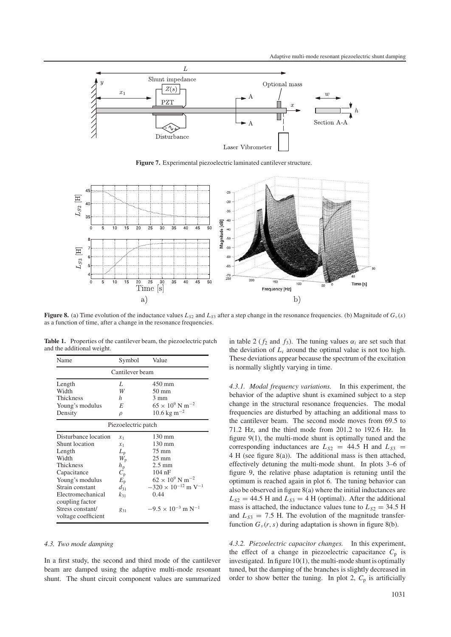

**Figure 7.** Experimental piezoelectric laminated cantilever structure.



**Figure 8.** (a) Time evolution of the inductance values  $L_{S2}$  and  $L_{S3}$  after a step change in the resonance frequencies. (b) Magnitude of  $G_v(s)$ as a function of time, after a change in the resonance frequencies.

| and the additional weight. |        | <b>THOICE 11 The Second Commence of Seams</b> , the presentence parent |
|----------------------------|--------|------------------------------------------------------------------------|
| Name                       | Symbol | Value                                                                  |

**Table 1.** Properties of the cantilever beam, the piezoelectric patch

|                      | <u>sinool</u>             |                                          |  |  |  |  |  |  |
|----------------------|---------------------------|------------------------------------------|--|--|--|--|--|--|
| Cantilever beam      |                           |                                          |  |  |  |  |  |  |
| Length               | L                         | 450 mm                                   |  |  |  |  |  |  |
| Width                | W                         | $50 \text{ mm}$                          |  |  |  |  |  |  |
| Thickness            | h                         | 3 mm                                     |  |  |  |  |  |  |
| Young's modulus      | E                         | $65 \times 10^9$ N m <sup>-2</sup>       |  |  |  |  |  |  |
| Density              | $\rho$                    | $10.6 \text{ kg m}^{-2}$                 |  |  |  |  |  |  |
| Piezoelectric patch  |                           |                                          |  |  |  |  |  |  |
| Disturbance location | $x_1$                     | $130 \text{ mm}$                         |  |  |  |  |  |  |
| Shunt location       | $x_1$                     | 130 mm                                   |  |  |  |  |  |  |
| Length               | $L_{\rm p}$               | $75 \text{ mm}$                          |  |  |  |  |  |  |
| Width                | $W_{\rm p}$               | $25 \text{ mm}$                          |  |  |  |  |  |  |
| Thickness            | $h_{\rm p}$               | $2.5 \text{ mm}$                         |  |  |  |  |  |  |
| Capacitance          | $\overline{C}_{\text{p}}$ | $104$ nF                                 |  |  |  |  |  |  |
| Young's modulus      | $E_{\rm p}$               | $62 \times 10^9$ N m <sup>-2</sup>       |  |  |  |  |  |  |
| Strain constant      | $d_{31}$                  | $-320 \times 10^{-12}$ m V <sup>-1</sup> |  |  |  |  |  |  |
| Electromechanical    | $k_{31}$                  | 0.44                                     |  |  |  |  |  |  |
| coupling factor      |                           |                                          |  |  |  |  |  |  |
| Stress constant/     | 831                       | $-9.5 \times 10^{-3}$ m N <sup>-1</sup>  |  |  |  |  |  |  |
| voltage coefficient  |                           |                                          |  |  |  |  |  |  |
|                      |                           |                                          |  |  |  |  |  |  |

## *4.3. Two mode damping*

In a first study, the second and third mode of the cantilever beam are damped using the adaptive multi-mode resonant shunt. The shunt circuit component values are summarized in table 2 ( $f_2$  and  $f_3$ ). The tuning values  $\alpha_i$  are set such that the deviation of  $L_i$  around the optimal value is not too high. These deviations appear because the spectrum of the excitation is normally slightly varying in time.

*4.3.1. Modal frequency variations.* In this experiment, the behavior of the adaptive shunt is examined subject to a step change in the structural resonance frequencies. The modal frequencies are disturbed by attaching an additional mass to the cantilever beam. The second mode moves from 69.5 to 71.2 Hz, and the third mode from 201.2 to 192.6 Hz. In figure 9(1), the multi-mode shunt is optimally tuned and the corresponding inductances are  $L_{S2}$  = 44.5 H and  $L_{S3}$  = 4 H (see figure 8(a)). The additional mass is then attached, effectively detuning the multi-mode shunt. In plots 3–6 of figure 9, the relative phase adaptation is retuning until the optimum is reached again in plot 6. The tuning behavior can also be observed in figure 8(a) where the initial inductances are  $L_{S2} = 44.5$  H and  $L_{S3} = 4$  H (optimal). After the additional mass is attached, the inductance values tune to  $L_{S2} = 34.5$  H and  $L_{S3} = 7.5$  H. The evolution of the magnitude transferfunction  $G_v(r, s)$  during adaptation is shown in figure 8(b).

*4.3.2. Piezoelectric capacitor changes.* In this experiment, the effect of a change in piezoelectric capacitance  $C_p$  is investigated. In figure 10(1), the multi-mode shunt is optimally tuned, but the damping of the branches is slightly decreased in order to show better the tuning. In plot 2,  $C_p$  is artificially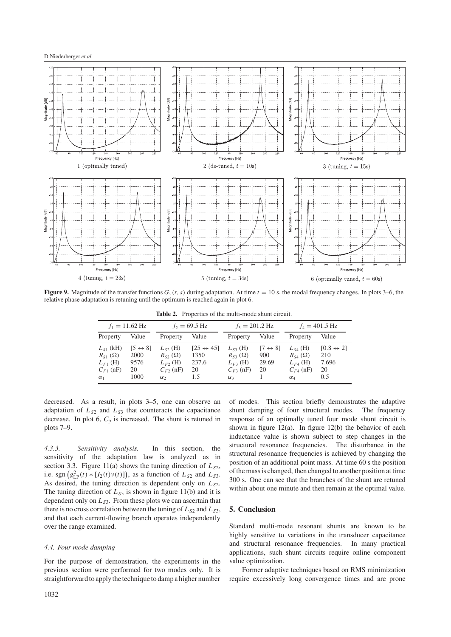

**Figure 9.** Magnitude of the transfer functions  $G_v(r, s)$  during adaptation. At time  $t = 10$  s, the modal frequency changes. In plots 3–6, the relative phase adaptation is retuning until the optimum is reached again in plot 6.

Table 2. Properties of the multi-mode shunt circuit.

|                                                                                  | $f_1 = 11.62 \text{ Hz}$                              |                                                                               | $f_2 = 69.5$ Hz                                         | $f_3 = 201.2 \text{ Hz}$                                                      |                                               |                                                                                 | $f_4 = 401.5 \text{ Hz}$                               |
|----------------------------------------------------------------------------------|-------------------------------------------------------|-------------------------------------------------------------------------------|---------------------------------------------------------|-------------------------------------------------------------------------------|-----------------------------------------------|---------------------------------------------------------------------------------|--------------------------------------------------------|
| Property                                                                         | Value                                                 | Property                                                                      | Value                                                   | Property                                                                      | Value                                         | Property                                                                        | Value                                                  |
| $L_{S1}$ (kH)<br>$R_{S1}(\Omega)$<br>$L_{F1}$ (H)<br>$C_{F1}$ (nF)<br>$\alpha_1$ | $[5 \leftrightarrow 8]$<br>2000<br>9576<br>20<br>1000 | $L_{52}$ (H)<br>$R_{S2}(\Omega)$<br>$L_{F2}$ (H)<br>$C_{F2}$ (nF)<br>$\alpha$ | $[25 \leftrightarrow 45]$<br>1350<br>237.6<br>20<br>1.5 | $L_{S3}$ (H)<br>$R_{S3}(\Omega)$<br>$L_{F3}$ (H)<br>$C_{F3}$ (nF)<br>$\alpha$ | $[7 \leftrightarrow 8]$<br>900<br>29.69<br>20 | $L_{S4}$ (H)<br>$R_{S4}(\Omega)$<br>$L_{F4}$ (H)<br>$C_{F4}$ (nF)<br>$\alpha_4$ | $[0.8 \leftrightarrow 2]$<br>210<br>7.696<br>20<br>0.5 |

decreased. As a result, in plots 3–5, one can observe an adaptation of  $L_{S2}$  and  $L_{S3}$  that counteracts the capacitance decrease. In plot 6, *C*<sup>p</sup> is increased. The shunt is retuned in plots 7–9.

*4.3.3. Sensitivity analysis.* In this section, the sensitivity of the adaptation law is analyzed as in section 3.3. Figure 11(a) shows the tuning direction of  $L_{S2}$ , i.e. sgn  $(g_{LP}^2(t) * [I_2(t)v(t)]$ , as a function of  $L_{S2}$  and  $L_{S3}$ . As desired, the tuning direction is dependent only on  $L_{S2}$ . The tuning direction of  $L_{S3}$  is shown in figure 11(b) and it is dependent only on  $L_{S3}$ . From these plots we can ascertain that there is no cross correlation between the tuning of  $L_{S2}$  and  $L_{S3}$ , and that each current-flowing branch operates independently over the range examined.

# *4.4. Four mode damping*

For the purpose of demonstration, the experiments in the previous section were performed for two modes only. It is straightforward to apply the technique to damp a higher number

of modes. This section briefly demonstrates the adaptive shunt damping of four structural modes. The frequency response of an optimally tuned four mode shunt circuit is shown in figure 12(a). In figure 12(b) the behavior of each inductance value is shown subject to step changes in the structural resonance frequencies. The disturbance in the structural resonance frequencies is achieved by changing the position of an additional point mass. At time 60 s the position ofthe mass is changed, then changed to another position at time 300 s. One can see that the branches of the shunt are retuned within about one minute and then remain at the optimal value.

# **5. Conclusion**

Standard multi-mode resonant shunts are known to be highly sensitive to variations in the transducer capacitance and structural resonance frequencies. In many practical applications, such shunt circuits require online component value optimization.

Former adaptive techniques based on RMS minimization require excessively long convergence times and are prone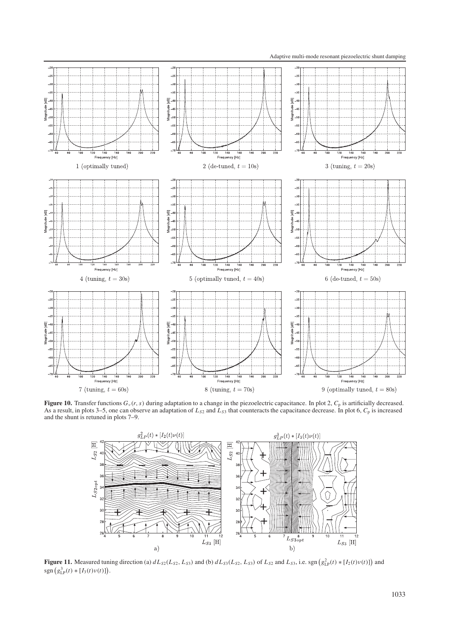Adaptive multi-mode resonant piezoelectric shunt damping



**Figure 10.** Transfer functions  $G_v(r, s)$  during adaptation to a change in the piezoelectric capacitance. In plot 2,  $C_p$  is artificially decreased. As a result, in plots 3–5, one can observe an adaptation of  $L_{S2}$  and  $L_{S3}$  that counteracts the capacitance decrease. In plot 6,  $C_p$  is increased and the shunt is retuned in plots 7–9.



**Figure 11.** Measured tuning direction (a)  $dL_{S2}(L_{S2}, L_{S3})$  and (b)  $dL_{S3}(L_{S2}, L_{S3})$  of  $L_{S2}$  and  $L_{S3}$ , i.e. sgn  $(g_{LP}^2(t) * [I_2(t)v(t)])$  and  $sgn(g_{LP}^{3}(t) * [I_{3}(t)v(t)]).$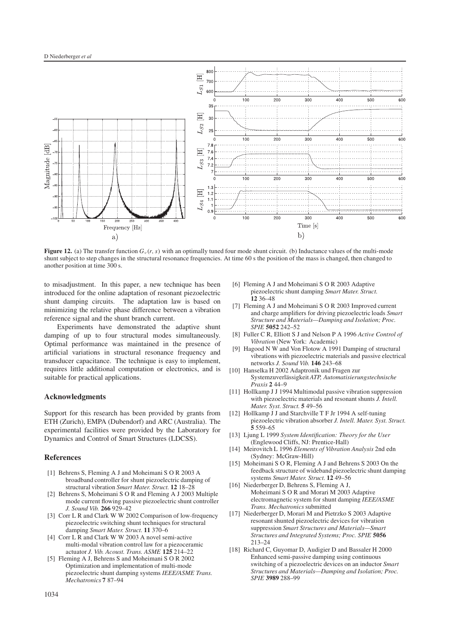

**Figure 12.** (a) The transfer function  $G_v(r, s)$  with an optimally tuned four mode shunt circuit. (b) Inductance values of the multi-mode shunt subject to step changes in the structural resonance frequencies. At time 60 s the position of the mass is changed, then changed to another position at time 300 s.

to misadjustment. In this paper, a new technique has been introduced for the online adaptation of resonant piezoelectric shunt damping circuits. The adaptation law is based on minimizing the relative phase difference between a vibration reference signal and the shunt branch current.

Experiments have demonstrated the adaptive shunt damping of up to four structural modes simultaneously. Optimal performance was maintained in the presence of artificial variations in structural resonance frequency and transducer capacitance. The technique is easy to implement, requires little additional computation or electronics, and is suitable for practical applications.

# **Acknowledgments**

Support for this research has been provided by grants from ETH (Zurich), EMPA (Dubendorf) and ARC (Australia). The experimental facilities were provided by the Laboratory for Dynamics and Control of Smart Structures (LDCSS).

#### **References**

- [1] Behrens S, Fleming A J and Moheimani S O R 2003 A broadband controller for shunt piezoelectric damping of structural vibration *Smart Mater. Struct.* **12** 18–28
- [2] Behrens S, Moheimani S O R and Fleming A J 2003 Multiple mode current flowing passive piezoelectric shunt controller *J. Sound Vib.* **266** 929–42
- [3] Corr L R and Clark W W 2002 Comparison of low-frequency piezoelectric switching shunt techniques for structural damping *Smart Mater. Struct.* **11** 370–6
- [4] Corr L R and Clark W W 2003 A novel semi-active multi-modal vibration control law for a piezoceramic actuator *J. Vib. Acoust. Trans. ASME* **125** 214–22
- [5] Fleming A J, Behrens S and Moheimani S O R 2002 Optimization and implementation of multi-mode piezoelectric shunt damping systems *IEEE/ASME Trans. Mechatronics* **7** 87–94
- [6] Fleming A J and Moheimani S O R 2003 Adaptive piezoelectric shunt damping *Smart Mater. Struct.* **12** 36–48
- [7] Fleming A J and Moheimani S O R 2003 Improved current and charge amplifiers for driving piezoelectric loads *Smart Structure and Materials—Damping and Isolation; Proc. SPIE* **5052** 242–52
- [8] Fuller C R, Elliott S J and Nelson P A 1996 *Active Control of Vibration* (New York: Academic)
- [9] Hagood N W and Von Flotow A 1991 Damping of structural vibrations with piezoelectric materials and passive electrical networks *J. Sound Vib.* **146** 243–68
- [10] Hanselka H 2002 Adaptronik und Fragen zur Systemzuverlassigkeit ¨ *ATP, Automatisierungstechnische Praxis* **2** 44–9
- [11] Hollkamp J J 1994 Multimodal passive vibration suppression with piezoelectric materials and resonant shunts *J. Intell. Mater. Syst. Struct.* **5** 49–56
- [12] Hollkamp J J and Starchville T F Jr 1994 A self-tuning piezoelectric vibration absorber *J. Intell. Mater. Syst. Struct.* **5** 559–65
- [13] Ljung L 1999 *System Identification: Theory for the User* (Englewood Cliffs, NJ: Prentice-Hall)
- [14] Meirovitch L 1996 *Elements of Vibration Analysis* 2nd edn (Sydney: McGraw-Hill)
- [15] Moheimani S O R, Fleming A J and Behrens S 2003 On the feedback structure of wideband piezoelectric shunt damping systems *Smart Mater. Struct.* **12** 49–56
- [16] Niederberger D, Behrens S, Fleming A J, Moheimani S O R and Morari M 2003 Adaptive electromagnetic system for shunt damping *IEEE/ASME Trans. Mechatronics* submitted
- [17] Niederberger D, Morari M and Pietrzko S 2003 Adaptive resonant shunted piezoelectric devices for vibration suppression *Smart Structures and Materials—Smart Structures and Integrated Systems; Proc. SPIE* **5056** 213–24
- [18] Richard C, Guyomar D, Audigier D and Bassaler H 2000 Enhanced semi-passive damping using continuous switching of a piezoelectric devices on an inductor *Smart Structures and Materials—Damping and Isolation; Proc. SPIE* **3989** 288–99